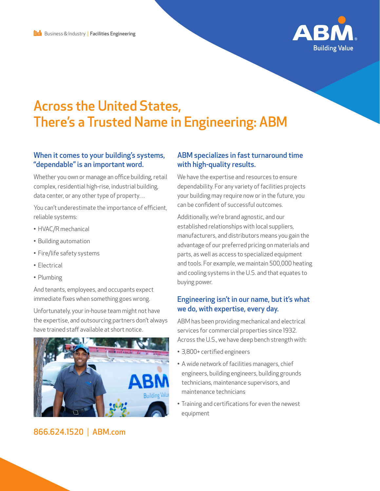

# Across the United States, There's a Trusted Name in Engineering: ABM

#### When it comes to your building's systems, "dependable" is an important word.

Whether you own or manage an office building, retail complex, residential high-rise, industrial building, data center, or any other type of property…

You can't underestimate the importance of efficient, reliable systems:

- HVAC/R mechanical
- Building automation
- Fire/life safety systems
- Electrical
- Plumbing

And tenants, employees, and occupants expect immediate fixes when something goes wrong.

Unfortunately, your in-house team might not have the expertise, and outsourcing partners don't always have trained staff available at short notice.



## 866.624.1520 | ABM.com

#### ABM specializes in fast turnaround time with high-quality results.

We have the expertise and resources to ensure dependability. For any variety of facilities projects your building may require now or in the future, you can be confident of successful outcomes.

Additionally, we're brand agnostic, and our established relationships with local suppliers, manufacturers, and distributors means you gain the advantage of our preferred pricing on materials and parts, as well as access to specialized equipment and tools. For example, we maintain 500,000 heating and cooling systems in the U.S. and that equates to buying power.

#### Engineering isn't in our name, but it's what we do, with expertise, every day.

ABM has been providing mechanical and electrical services for commercial properties since 1932. Across the U.S., we have deep bench strength with:

- 3,800+ certified engineers
- A wide network of facilities managers, chief engineers, building engineers, building grounds technicians, maintenance supervisors, and maintenance technicians
- Training and certifications for even the newest equipment